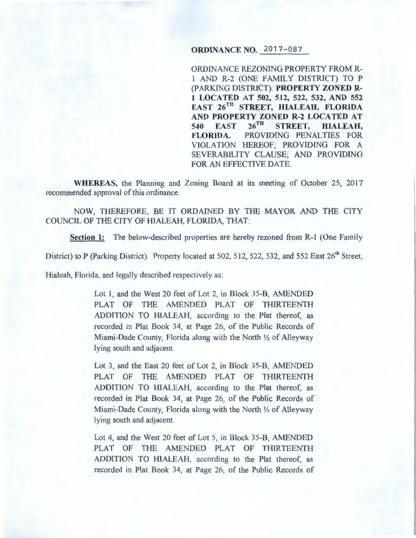## **ORDINANCE NO. 2017-087**

ORDINANCE REZONING PROPERTY FROM R-1 AND R-2 (ONE FAMILY DISTRICT) TO P (PARKING DISTRICT). PROPERTY ZONED R-1 LOCATED AT 502, 512, 522, 532, AND 552 EAST 26<sup>TH</sup> STREET, HIALEAH, FLORIDA AND PROPERTY ZONED R-2 LOCATED AT<br>540 EAST 26<sup>TH</sup> STREET, HIALEAH, 540 EAST 26™ STREET, HIALEAH, FLORIDA. PROVIDING PENALTIES FOR VIOLATION HEREOF; PROVIDING FOR A SEVERABILITY CLAUSE; AND PROVIDING FOR AN EFFECTIVE DATE.

WHEREAS, the Planning and Zoning Board at its meeting of October 25, 2017 recommended approval of this ordinance.

NOW, THEREFORE, BE IT ORDAINED BY THE MAYOR AND THE CITY COUNCIL OF THE CITY OF HIALEAH, FLORIDA, THAT:

Section 1: The below-described properties are hereby rezoned from R-1 (One Family

District) to P (Parking District). Property located at 502, 512, 522, 532, and 552 East 26<sup>th</sup> Street,

Hialeah, Florida, and legally described respectively as:

Lot 1, and the West 20 feet of Lot 2, in Block 35-B, AMENDED PLAT OF THE AMENDED PLAT OF THIRTEENTH ADDITION TO HIALEAH, according to the Plat thereof, as recorded in Plat Book 34, at Page 26, of the Public Records of Miami-Dade County, Florida along with the North *Y2* of Alleyway lying south and adjacent.

Lot 3, and the East 20 feet of Lot 2, in Block 35-B, AMENDED PLAT OF THE AMENDED PLAT OF THIRTEENTH ADDITION TO HIALEAH, according to the Plat thereof, as recorded in Plat Book 34, at Page 26, of the Public Records of Miami-Dade County, Florida along with the North *Y2* of Alleyway lying south and adjacent.

Lot 4, and the West 20 feet of Lot 5, in Block 35-B, AMENDED PLAT OF THE AMENDED PLAT OF THIRTEENTH ADDITION TO HIALEAH, according to the Plat thereof, as recorded in Plat Book 34, at Page 26, of the Public Records of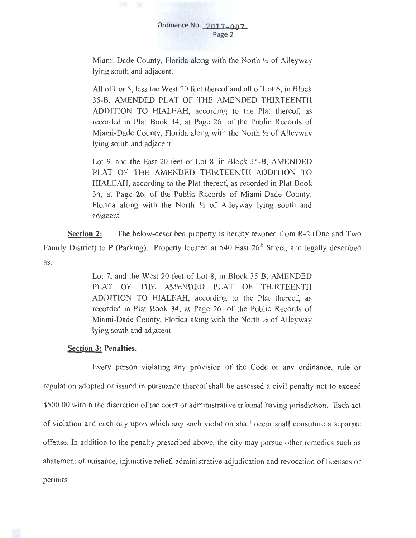

Miami-Dade County, Florida along with the North  $\frac{1}{2}$  of Alleyway lying south and adjacent.

All of Lot 5, less the West 20 feet thereof and all of Lot 6, in Block 35-B, AMENDED PLAT OF THE AMENDED THIRTEENTH ADDITION TO HIALEAH, according to the Plat thereof, as recorded in Plat Book 34, at Page 26, of the Public Records of Miami-Dade County, Florida along with the North  $\frac{1}{2}$  of Alleyway lying south and adjacent.

Lot 9, and the East 20 feet of Lot 8, in Block 35-B, AMENDED PLAT OF THE AMENDED THIRTEENTH ADDITION TO HIALEAH, according to the Plat thereof, as recorded in Plat Book 34, at Page 26, of the Public Records of Miami-Dade County, Florida along with the North  $\frac{1}{2}$  of Alleyway lying south and adjacent.

**Section 2:** The below-described property is hereby rezoned from R-2 (One and Two Family District) to P (Parking). Property located at 540 East 26<sup>th</sup> Street, and legally described as:

> Lot 7, and the West 20 feet of Lot 8, in Block 35-B, AMENDED PLAT OF THE AMENDED PLAT OF THIRTEENTH ADDITION TO HIALEAH, according to the Plat thereof, as recorded in Plat Book 34, at Page 26, of the Public Records of Miami-Dade County, Florida along with the North  $\frac{1}{2}$  of Alleyway lying south and adjacent.

## **Section 3: Penalties.**

Every person violating any provision of the Code or any ordinance, rule or regulation adopted or issued in pursuance thereof shall be assessed a civil penalty not to exceed \$500.00 within the discretion of the court or administrative tribunal having jurisdiction. Each act of violation and each day upon which any such violation shall occur shall constitute a separate offense. In addition to the penalty prescribed above, the city may pursue other remedies such as abatement of nuisance, injunctive relief, administrative adjudication and revocation of licenses or permits.